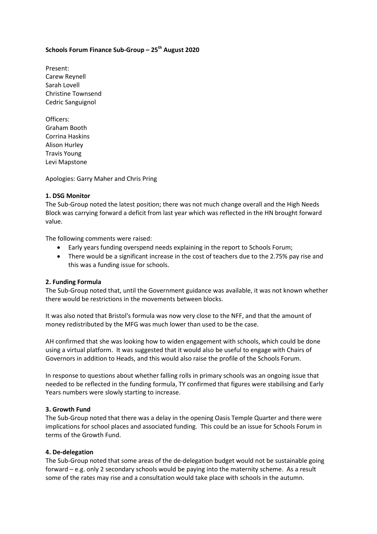# **Schools Forum Finance Sub-Group – 25th August 2020**

Present: Carew Reynell Sarah Lovell Christine Townsend Cedric Sanguignol

Officers: Graham Booth Corrina Haskins Alison Hurley Travis Young Levi Mapstone

Apologies: Garry Maher and Chris Pring

#### **1. DSG Monitor**

The Sub-Group noted the latest position; there was not much change overall and the High Needs Block was carrying forward a deficit from last year which was reflected in the HN brought forward value.

The following comments were raised:

- Early years funding overspend needs explaining in the report to Schools Forum;
- There would be a significant increase in the cost of teachers due to the 2.75% pay rise and this was a funding issue for schools.

### **2. Funding Formula**

The Sub-Group noted that, until the Government guidance was available, it was not known whether there would be restrictions in the movements between blocks.

It was also noted that Bristol's formula was now very close to the NFF, and that the amount of money redistributed by the MFG was much lower than used to be the case.

AH confirmed that she was looking how to widen engagement with schools, which could be done using a virtual platform. It was suggested that it would also be useful to engage with Chairs of Governors in addition to Heads, and this would also raise the profile of the Schools Forum.

In response to questions about whether falling rolls in primary schools was an ongoing issue that needed to be reflected in the funding formula, TY confirmed that figures were stabilising and Early Years numbers were slowly starting to increase.

### **3. Growth Fund**

The Sub-Group noted that there was a delay in the opening Oasis Temple Quarter and there were implications for school places and associated funding. This could be an issue for Schools Forum in terms of the Growth Fund.

### **4. De-delegation**

The Sub-Group noted that some areas of the de-delegation budget would not be sustainable going forward – e.g. only 2 secondary schools would be paying into the maternity scheme. As a result some of the rates may rise and a consultation would take place with schools in the autumn.